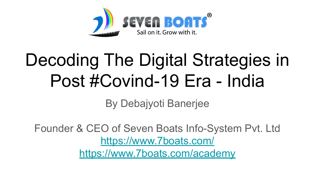

# Decoding The Digital Strategies in Post #Covind-19 Era - India

By Debajyoti Banerjee

Founder & CEO of Seven Boats Info-System Pvt. Ltd <https://www.7boats.com/> <https://www.7boats.com/academy>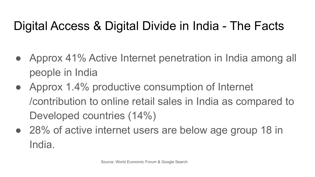# Digital Access & Digital Divide in India - The Facts

- Approx 41% Active Internet penetration in India among all people in India
- Approx 1.4% productive consumption of Internet /contribution to online retail sales in India as compared to Developed countries (14%)
- 28% of active internet users are below age group 18 in India.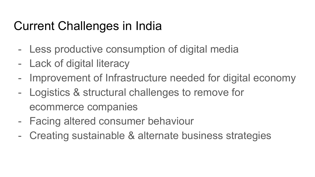#### Current Challenges in India

- Less productive consumption of digital media
- Lack of digital literacy
- Improvement of Infrastructure needed for digital economy
- Logistics & structural challenges to remove for ecommerce companies
- Facing altered consumer behaviour
- Creating sustainable & alternate business strategies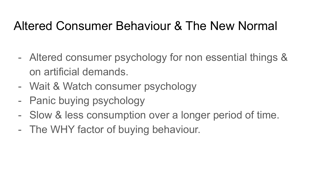#### Altered Consumer Behaviour & The New Normal

- Altered consumer psychology for non essential things & on artificial demands.
- Wait & Watch consumer psychology
- Panic buying psychology
- Slow & less consumption over a longer period of time.
- The WHY factor of buying behaviour.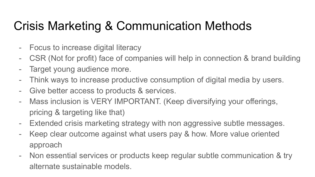### Crisis Marketing & Communication Methods

- Focus to increase digital literacy
- CSR (Not for profit) face of companies will help in connection & brand building
- Target young audience more.
- Think ways to increase productive consumption of digital media by users.
- Give better access to products & services.
- Mass inclusion is VERY IMPORTANT. (Keep diversifying your offerings, pricing & targeting like that)
- Extended crisis marketing strategy with non aggressive subtle messages.
- Keep clear outcome against what users pay & how. More value oriented approach
- Non essential services or products keep regular subtle communication & try alternate sustainable models.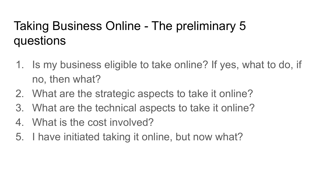### Taking Business Online - The preliminary 5 questions

- 1. Is my business eligible to take online? If yes, what to do, if no, then what?
- 2. What are the strategic aspects to take it online?
- 3. What are the technical aspects to take it online?
- 4. What is the cost involved?
- 5. I have initiated taking it online, but now what?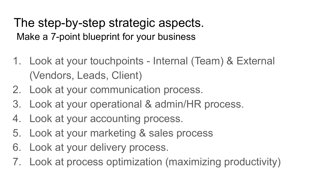The step-by-step strategic aspects. Make a 7-point blueprint for your business

- 1. Look at your touchpoints Internal (Team) & External (Vendors, Leads, Client)
- 2. Look at your communication process.
- 3. Look at your operational & admin/HR process.
- 4. Look at your accounting process.
- 5. Look at your marketing & sales process
- 6. Look at your delivery process.
- 7. Look at process optimization (maximizing productivity)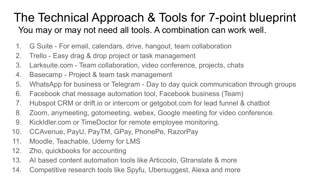#### The Technical Approach & Tools for 7-point blueprint You may or may not need all tools. A combination can work well.

- 1. G Suite For email, calendars, drive, hangout, team collaboration
- 2. Trello Easy drag & drop project or task management
- 3. Larksuite.com Team collaboration, video conference, projects, chats
- 4. Basecamp Project & team task management
- 5. WhatsApp for business or Telegram Day to day quick communication through groups
- 6. Facebook chat message automation tool, Facebook business (Team)
- 7. Hubspot CRM or drift.io or intercom or getgobot.com for lead funnel & chatbot
- 8. Zoom, anymeeting, gotomeeting, webex, Google meeting for video conference.
- 9. KickIdler.com or TimeDoctor for remote employee monitoring.
- 10. CCAvenue, PayU, PayTM, GPay, PhonePe, RazorPay
- 11. Moodle, Teachable, Udemy for LMS
- 12. Zho, quickbooks for accounting
- 13. AI based content automation tools like Articoolo, Gtranslate & more
- 14. Competitive research tools like Spyfu, Ubersuggest, Alexa and more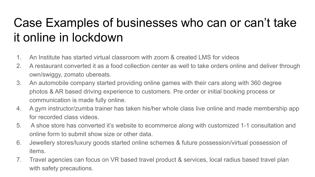# Case Examples of businesses who can or can't take it online in lockdown

- 1. An Institute has started virtual classroom with zoom & created LMS for videos
- 2. A restaurant converted it as a food collection center as well to take orders online and deliver through own/swiggy, zomato ubereats.
- 3. An automobile company started providing online games with their cars along with 360 degree photos & AR based driving experience to customers. Pre order or initial booking process or communication is made fully online.
- 4. A gym instructor/zumba trainer has taken his/her whole class live online and made membership app for recorded class videos.
- 5. A shoe store has converted it's website to ecommerce along with customized 1-1 consultation and online form to submit show size or other data.
- 6. Jewellery stores/luxury goods started online schemes & future possession/virtual possession of items.
- 7. Travel agencies can focus on VR based travel product & services, local radius based travel plan with safety precautions.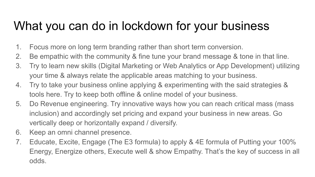#### What you can do in lockdown for your business

- 1. Focus more on long term branding rather than short term conversion.
- 2. Be empathic with the community & fine tune your brand message & tone in that line.
- 3. Try to learn new skills (Digital Marketing or Web Analytics or App Development) utilizing your time & always relate the applicable areas matching to your business.
- 4. Try to take your business online applying & experimenting with the said strategies & tools here. Try to keep both offline & online model of your business.
- 5. Do Revenue engineering. Try innovative ways how you can reach critical mass (mass inclusion) and accordingly set pricing and expand your business in new areas. Go vertically deep or horizontally expand / diversify.
- 6. Keep an omni channel presence.
- 7. Educate, Excite, Engage (The E3 formula) to apply & 4E formula of Putting your 100% Energy, Energize others, Execute well & show Empathy. That's the key of success in all odds.